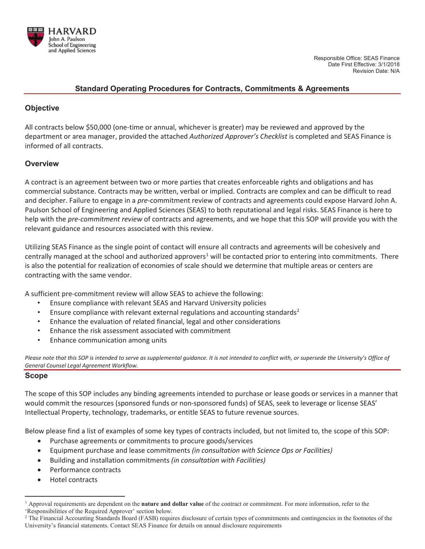

## **Standard Operating Procedures for Contracts, Commitments & Agreements**

# **Objective**

All contracts below \$50,000 (one-time or annual, whichever is greater) may be reviewed and approved by the department or area manager, provided the attached *Authorized Approver's Checklist* is completed and SEAS Finance is informed of all contracts.

# **Overview**

A contract is an agreement between two or more parties that creates enforceable rights and obligations and has commercial substance. Contracts may be written, verbal or implied. Contracts are complex and can be difficult to read and decipher. Failure to engage in a *pre-*commitment review of contracts and agreements could expose Harvard John A. Paulson School of Engineering and Applied Sciences (SEAS) to both reputational and legal risks. SEAS Finance is here to help with the *pre-commitment review* of contracts and agreements, and we hope that this SOP will provide you with the relevant guidance and resources associated with this review.

Utilizing SEAS Finance as the single point of contact will ensure all contracts and agreements will be cohesively and centrally managed at the school and authorized approvers<sup>1</sup> will be contacted prior to entering into commitments. There is also the potential for realization of economies of scale should we determine that multiple areas or centers are contracting with the same vendor.

A sufficient pre-commitment review will allow SEAS to achieve the following:

- Ensure compliance with relevant SEAS and Harvard University policies
- Ensure compliance with relevant external regulations and accounting standards<sup>2</sup>
- Enhance the evaluation of related financial, legal and other considerations
- Enhance the risk assessment associated with commitment
- Enhance communication among units

Please note that this SOP is intended to serve as supplemental guidance. It is not intended to conflict with, or supersede the University's Office of *General Counsel Legal Agreement Workflow.* 

#### **Scope**

The scope of this SOP includes any binding agreements intended to purchase or lease goods or services in a manner that would commit the resources (sponsored funds or non-sponsored funds) of SEAS, seek to leverage or license SEAS' Intellectual Property, technology, trademarks, or entitle SEAS to future revenue sources.

Below please find a list of examples of some key types of contracts included, but not limited to, the scope of this SOP:

- Purchase agreements or commitments to procure goods/services
- x Equipment purchase and lease commitments *(in consultation with Science Ops or Facilities)*
- x Building and installation commitments *(in consultation with Facilities)*
- Performance contracts
- Hotel contracts

<sup>1</sup> Approval requirements are dependent on the **nature and dollar value** of the contract or commitment. For more information, refer to the 'Responsibilities of the Required Approver' section below.

<sup>&</sup>lt;sup>2</sup> The Financial Accounting Standards Board (FASB) requires disclosure of certain types of commitments and contingencies in the footnotes of the University's financial statements. Contact SEAS Finance for details on annual disclosure requirements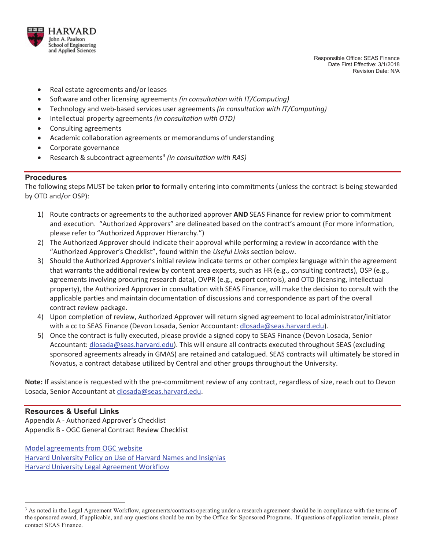

 Responsible Office: SEAS Finance Date First Effective: 3/1/2018 Revision Date: N/A

- Real estate agreements and/or leases
- x Software and other licensing agreements *(in consultation with IT/Computing)*
- x Technology and web-based services user agreements *(in consultation with IT/Computing)*
- x Intellectual property agreements *(in consultation with OTD)*
- Consulting agreements
- Academic collaboration agreements or memorandums of understanding
- Corporate governance
- Research & subcontract agreements<sup>3</sup> (in consultation with RAS)

#### **Procedures**

The following steps MUST be taken **prior to** formally entering into commitments (unless the contract is being stewarded by OTD and/or OSP):

- 1) Route contracts or agreements to the authorized approver **AND** SEAS Finance for review prior to commitment and execution. "Authorized Approvers" are delineated based on the contract's amount (For more information, please refer to "Authorized Approver Hierarchy.")
- 2) The Authorized Approver should indicate their approval while performing a review in accordance with the "Authorized Approver's Checklist", found within the *Useful Links* section below.
- 3) Should the Authorized Approver's initial review indicate terms or other complex language within the agreement that warrants the additional review by content area experts, such as HR (e.g., consulting contracts), OSP (e.g., agreements involving procuring research data), OVPR (e.g., export controls), and OTD (licensing, intellectual property), the Authorized Approver in consultation with SEAS Finance, will make the decision to consult with the applicable parties and maintain documentation of discussions and correspondence as part of the overall contract review package.
- 4) Upon completion of review, Authorized Approver will return signed agreement to local administrator/initiator with a cc to SEAS Finance (Devon Losada, Senior Accountant: dlosada@seas.harvard.edu).
- 5) Once the contract is fully executed, please provide a signed copy to SEAS Finance (Devon Losada, Senior Accountant: dlosada@seas.harvard.edu). This will ensure all contracts executed throughout SEAS (excluding sponsored agreements already in GMAS) are retained and catalogued. SEAS contracts will ultimately be stored in Novatus, a contract database utilized by Central and other groups throughout the University.

**Note:** If assistance is requested with the pre-commitment review of any contract, regardless of size, reach out to Devon Losada, Senior Accountant at dlosada@seas.harvard.edu.

#### **Resources & Useful Links**

Appendix A - Authorized Approver's Checklist Appendix B - OGC General Contract Review Checklist

Model agreements from OGC website Harvard University Policy on Use of Harvard Names and Insignias Harvard University Legal Agreement Workflow

<sup>&</sup>lt;sup>3</sup> As noted in the Legal Agreement Workflow, agreements/contracts operating under a research agreement should be in compliance with the terms of the sponsored award, if applicable, and any questions should be run by the Office for Sponsored Programs. If questions of application remain, please contact SEAS Finance.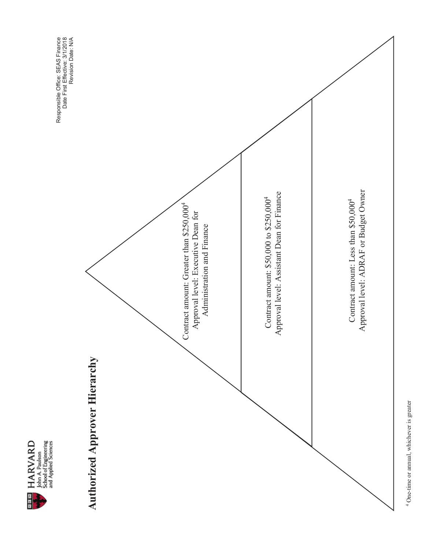





<sup>4</sup> One-time or annual, whichever is greater One-time or annual, whichever is greater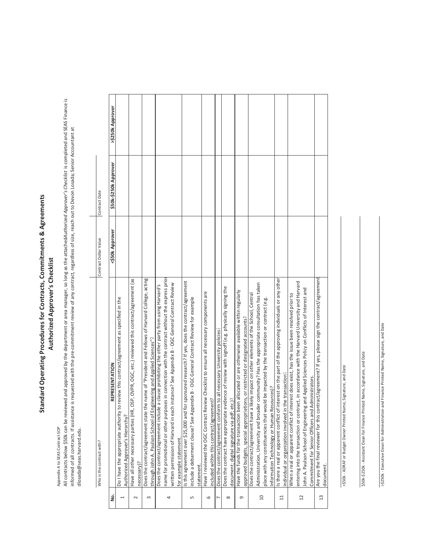# Standard Operating Procedures for Contracts, Commitments & Agreements **Standard Operating Procedures for Contracts, Commitments & Agreements** Authorized Approver's Checklist Authorized Approver's Checklist

Appendix A to SEAS Contract SOP Appendix A to SEAS Contract SOP

All contracts below \$50k can be reviewed and approved by the department or area manager, so long as the attached uthorized Approver's Checklist is completed and SEAS Finance is Àll contracts below \$50k can be reviewed and approved by the department or area manager, so long as the attachedAu*thorized Approver's Checklist* is completed and SEAS Finance is informed of all contracts. If assistance is requested with the pre-commitment review of any contract, regardless of size, reach out to Devon Losada; Senior Accountant at informed of all contracts. If assistance is requested with the pre-commitment review of any contract, regardless of size, reach out to Devon Losada; Senior Accountant at dlosada@seas.harvard.edu. dlosada@seas.harvard.edu.

|                | Who is the contract with?                                                                                                                                                                                                                                                                                                                                   | Contract Dollar Value | Contract Date         |                  |
|----------------|-------------------------------------------------------------------------------------------------------------------------------------------------------------------------------------------------------------------------------------------------------------------------------------------------------------------------------------------------------------|-----------------------|-----------------------|------------------|
| غ<br>2         | REPRESENTATION                                                                                                                                                                                                                                                                                                                                              | <\$50k Approver       | \$50k-\$250k Approver | >\$250k Approver |
|                | review this contract/agreement as specified in the<br>Do I have the appropriate authority to<br>Authorized Approver's Hierarchy?                                                                                                                                                                                                                            |                       |                       |                  |
| $\sim$         | Have all other necessary parties (HR, OSP, OVPR, OGC, etc.) reviewed this contract/agreement (as<br>necessary)?                                                                                                                                                                                                                                             |                       |                       |                  |
| $\infty$       | Does the contract/agreement state the name of "President and Fellows of Harvard College, acting<br>through John A. Paulson School of Engineering and Applied Sciences"?                                                                                                                                                                                     |                       |                       |                  |
| 4              | name for promotional or other purposes in connection with the contract without the express prior<br>instance? See Appendix B - OGC General Contract Review<br>Does the contract/agreement include a clause prohibiting the other party from using Harvard's<br>written permission of Harvard in each<br>for example statement.                              |                       |                       |                  |
| LŊ             | sponsored research? If yes, does the contract/agreement<br>include a debarment clause? See Appendix B - OGC General Contract Review for example<br>Is this agreement over \$25,000 and for<br>statement.                                                                                                                                                    |                       |                       |                  |
| 6              | Have I reviewed the OGC Contract Review Checklist to ensure all necessary components are<br>included within this contract/agreement?                                                                                                                                                                                                                        |                       |                       |                  |
| $\overline{ }$ | to all necessary University policies?<br>Does the contract/agreement conform                                                                                                                                                                                                                                                                                |                       |                       |                  |
| ${}^{\circ}$   | Does the contract have appropriate evidence of review with signoff (e.g. physically signing the<br>document; digital signature via pdf; etc.)?                                                                                                                                                                                                              |                       |                       |                  |
| G              | Have the funds for the transaction been allocated or are otherwise available within regularly<br>approved budgets, special appropriations, or restricted or designated accounts?                                                                                                                                                                            |                       |                       |                  |
| $\Omega$       | Administration, University and broader community? Has the appropriate consultation has taken<br>Does the contract/agreement have a likely impact on other elements of the School, Central<br>place with any constituencies that would be impacted by the transaction or contract (e.g.<br>Information Technology or Human Resources)?                       |                       |                       |                  |
| $\Xi$          | is there a real or apparent conflict of interest on the part of the approving individuals or any other<br>ndividual or organization involved in the transaction?                                                                                                                                                                                            |                       |                       |                  |
| $\overline{c}$ | entering into the transaction or contract, in accordance with the Harvard University and Harvard<br>and Applied Sciences Policy on Conflicts of Interest and<br>When a real or apparent conflict of interest does exist, has the issue been resolved prior to<br>Commitment for Senior Officers and Administrators.<br>ohn A. Paulson School of Engineering |                       |                       |                  |
| 13             | Are you the final reviewer for this contract/agreement? If yes, please sign the contract/agreement<br>document.                                                                                                                                                                                                                                             |                       |                       |                  |

<\$50k - ADRAF or Budget Owner Printed Name, Signature, and Date <\$50k - ADRAF or Budget Owner Printed Name, Signature, and Date

\$50k-\$250k - Assistant Dean for Finance Printed Name, Signature, and Date \$50k-\$250k - Assistant Dean for Finance Printed Name, Signature, and Date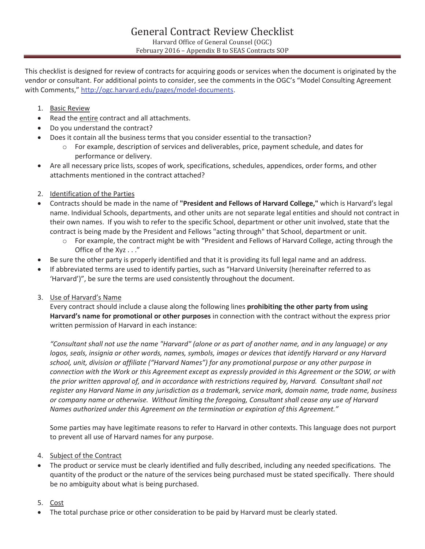This checklist is designed for review of contracts for acquiring goods or services when the document is originated by the vendor or consultant. For additional points to consider, see the comments in the OGC's "Model Consulting Agreement with Comments," http://ogc.harvard.edu/pages/model-documents.

## 1. Basic Review

- Read the entire contract and all attachments.
- Do you understand the contract?
- Does it contain all the business terms that you consider essential to the transaction?
	- o For example, description of services and deliverables, price, payment schedule, and dates for performance or delivery.
- Are all necessary price lists, scopes of work, specifications, schedules, appendices, order forms, and other attachments mentioned in the contract attached?
- 2. Identification of the Parties
- x Contracts should be made in the name of **"President and Fellows of Harvard College,"** which is Harvard's legal name. Individual Schools, departments, and other units are not separate legal entities and should not contract in their own names. If you wish to refer to the specific School, department or other unit involved, state that the contract is being made by the President and Fellows "acting through" that School, department or unit.
	- $\circ$  For example, the contract might be with "President and Fellows of Harvard College, acting through the Office of the Xyz . . ."
- Be sure the other party is properly identified and that it is providing its full legal name and an address.
- If abbreviated terms are used to identify parties, such as "Harvard University (hereinafter referred to as 'Harvard')", be sure the terms are used consistently throughout the document.
- 3. Use of Harvard's Name

Every contract should include a clause along the following lines **prohibiting the other party from using Harvard's name for promotional or other purposes** in connection with the contract without the express prior written permission of Harvard in each instance:

*"Consultant shall not use the name "Harvard" (alone or as part of another name, and in any language) or any logos, seals, insignia or other words, names, symbols, images or devices that identify Harvard or any Harvard school, unit, division or affiliate ("Harvard Names") for any promotional purpose or any other purpose in connection with the Work or this Agreement except as expressly provided in this Agreement or the SOW, or with the prior written approval of, and in accordance with restrictions required by, Harvard. Consultant shall not register any Harvard Name in any jurisdiction as a trademark, service mark, domain name, trade name, business or company name or otherwise. Without limiting the foregoing, Consultant shall cease any use of Harvard Names authorized under this Agreement on the termination or expiration of this Agreement."* 

Some parties may have legitimate reasons to refer to Harvard in other contexts. This language does not purport to prevent all use of Harvard names for any purpose.

- 4. Subject of the Contract
- The product or service must be clearly identified and fully described, including any needed specifications. The quantity of the product or the nature of the services being purchased must be stated specifically. There should be no ambiguity about what is being purchased.
- 5. Cost
- The total purchase price or other consideration to be paid by Harvard must be clearly stated.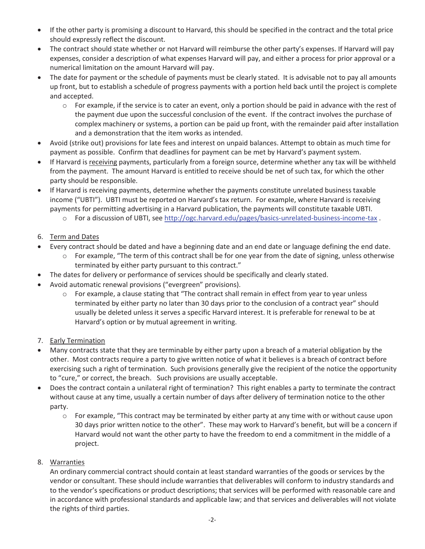- If the other party is promising a discount to Harvard, this should be specified in the contract and the total price should expressly reflect the discount.
- The contract should state whether or not Harvard will reimburse the other party's expenses. If Harvard will pay expenses, consider a description of what expenses Harvard will pay, and either a process for prior approval or a numerical limitation on the amount Harvard will pay.
- The date for payment or the schedule of payments must be clearly stated. It is advisable not to pay all amounts up front, but to establish a schedule of progress payments with a portion held back until the project is complete and accepted.
	- $\circ$  For example, if the service is to cater an event, only a portion should be paid in advance with the rest of the payment due upon the successful conclusion of the event. If the contract involves the purchase of complex machinery or systems, a portion can be paid up front, with the remainder paid after installation and a demonstration that the item works as intended.
- Avoid (strike out) provisions for late fees and interest on unpaid balances. Attempt to obtain as much time for payment as possible. Confirm that deadlines for payment can be met by Harvard's payment system.
- If Harvard is receiving payments, particularly from a foreign source, determine whether any tax will be withheld from the payment. The amount Harvard is entitled to receive should be net of such tax, for which the other party should be responsible.
- If Harvard is receiving payments, determine whether the payments constitute unrelated business taxable income ("UBTI"). UBTI must be reported on Harvard's tax return. For example, where Harvard is receiving payments for permitting advertising in a Harvard publication, the payments will constitute taxable UBTI.
	- o For a discussion of UBTI, see http://ogc.harvard.edu/pages/basics-unrelated-business-income-tax .
- 6. Term and Dates
- Every contract should be dated and have a beginning date and an end date or language defining the end date.
	- $\circ$  For example, "The term of this contract shall be for one year from the date of signing, unless otherwise terminated by either party pursuant to this contract."
- The dates for delivery or performance of services should be specifically and clearly stated.
- Avoid automatic renewal provisions ("evergreen" provisions).
	- o For example, a clause stating that "The contract shall remain in effect from year to year unless terminated by either party no later than 30 days prior to the conclusion of a contract year" should usually be deleted unless it serves a specific Harvard interest. It is preferable for renewal to be at Harvard's option or by mutual agreement in writing.
- 7. Early Termination
- x Many contracts state that they are terminable by either party upon a breach of a material obligation by the other. Most contracts require a party to give written notice of what it believes is a breach of contract before exercising such a right of termination. Such provisions generally give the recipient of the notice the opportunity to "cure," or correct, the breach. Such provisions are usually acceptable.
- Does the contract contain a unilateral right of termination? This right enables a party to terminate the contract without cause at any time, usually a certain number of days after delivery of termination notice to the other party.
	- $\circ$  For example, "This contract may be terminated by either party at any time with or without cause upon 30 days prior written notice to the other". These may work to Harvard's benefit, but will be a concern if Harvard would not want the other party to have the freedom to end a commitment in the middle of a project.
- 8. Warranties

An ordinary commercial contract should contain at least standard warranties of the goods or services by the vendor or consultant. These should include warranties that deliverables will conform to industry standards and to the vendor's specifications or product descriptions; that services will be performed with reasonable care and in accordance with professional standards and applicable law; and that services and deliverables will not violate the rights of third parties.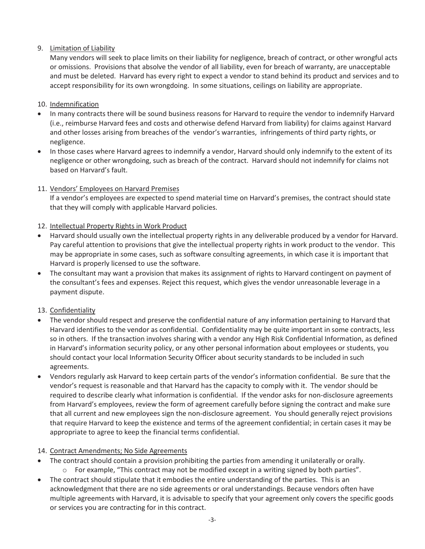# 9. Limitation of Liability

Many vendors will seek to place limits on their liability for negligence, breach of contract, or other wrongful acts or omissions. Provisions that absolve the vendor of all liability, even for breach of warranty, are unacceptable and must be deleted. Harvard has every right to expect a vendor to stand behind its product and services and to accept responsibility for its own wrongdoing. In some situations, ceilings on liability are appropriate.

## 10. Indemnification

- In many contracts there will be sound business reasons for Harvard to require the vendor to indemnify Harvard (i.e., reimburse Harvard fees and costs and otherwise defend Harvard from liability) for claims against Harvard and other losses arising from breaches of the vendor's warranties, infringements of third party rights, or negligence.
- In those cases where Harvard agrees to indemnify a vendor, Harvard should only indemnify to the extent of its negligence or other wrongdoing, such as breach of the contract. Harvard should not indemnify for claims not based on Harvard's fault.

# 11. Vendors' Employees on Harvard Premises

If a vendor's employees are expected to spend material time on Harvard's premises, the contract should state that they will comply with applicable Harvard policies.

# 12. Intellectual Property Rights in Work Product

- Harvard should usually own the intellectual property rights in any deliverable produced by a vendor for Harvard. Pay careful attention to provisions that give the intellectual property rights in work product to the vendor. This may be appropriate in some cases, such as software consulting agreements, in which case it is important that Harvard is properly licensed to use the software.
- The consultant may want a provision that makes its assignment of rights to Harvard contingent on payment of the consultant's fees and expenses. Reject this request, which gives the vendor unreasonable leverage in a payment dispute.

# 13. Confidentiality

- The vendor should respect and preserve the confidential nature of any information pertaining to Harvard that Harvard identifies to the vendor as confidential. Confidentiality may be quite important in some contracts, less so in others. If the transaction involves sharing with a vendor any High Risk Confidential Information, as defined in Harvard's information security policy, or any other personal information about employees or students, you should contact your local Information Security Officer about security standards to be included in such agreements.
- Vendors regularly ask Harvard to keep certain parts of the vendor's information confidential. Be sure that the vendor's request is reasonable and that Harvard has the capacity to comply with it. The vendor should be required to describe clearly what information is confidential. If the vendor asks for non-disclosure agreements from Harvard's employees, review the form of agreement carefully before signing the contract and make sure that all current and new employees sign the non-disclosure agreement. You should generally reject provisions that require Harvard to keep the existence and terms of the agreement confidential; in certain cases it may be appropriate to agree to keep the financial terms confidential.

## 14. Contract Amendments; No Side Agreements

- The contract should contain a provision prohibiting the parties from amending it unilaterally or orally.
	- $\circ$  For example, "This contract may not be modified except in a writing signed by both parties".
- The contract should stipulate that it embodies the entire understanding of the parties. This is an acknowledgment that there are no side agreements or oral understandings. Because vendors often have multiple agreements with Harvard, it is advisable to specify that your agreement only covers the specific goods or services you are contracting for in this contract.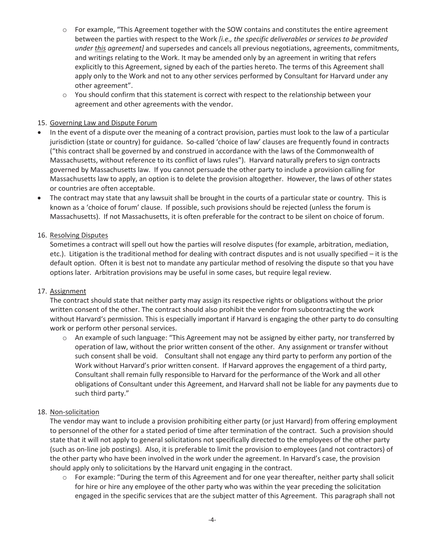- o For example, "This Agreement together with the SOW contains and constitutes the entire agreement between the parties with respect to the Work *[i.e., the specific deliverables or services to be provided under this agreement]* and supersedes and cancels all previous negotiations, agreements, commitments, and writings relating to the Work. It may be amended only by an agreement in writing that refers explicitly to this Agreement, signed by each of the parties hereto. The terms of this Agreement shall apply only to the Work and not to any other services performed by Consultant for Harvard under any other agreement".
- o You should confirm that this statement is correct with respect to the relationship between your agreement and other agreements with the vendor.

## 15. Governing Law and Dispute Forum

- In the event of a dispute over the meaning of a contract provision, parties must look to the law of a particular jurisdiction (state or country) for guidance. So-called 'choice of law' clauses are frequently found in contracts ("this contract shall be governed by and construed in accordance with the laws of the Commonwealth of Massachusetts, without reference to its conflict of laws rules"). Harvard naturally prefers to sign contracts governed by Massachusetts law. If you cannot persuade the other party to include a provision calling for Massachusetts law to apply, an option is to delete the provision altogether. However, the laws of other states or countries are often acceptable.
- The contract may state that any lawsuit shall be brought in the courts of a particular state or country. This is known as a 'choice of forum' clause. If possible, such provisions should be rejected (unless the forum is Massachusetts). If not Massachusetts, it is often preferable for the contract to be silent on choice of forum.

#### 16. Resolving Disputes

Sometimes a contract will spell out how the parties will resolve disputes (for example, arbitration, mediation, etc.). Litigation is the traditional method for dealing with contract disputes and is not usually specified – it is the default option. Often it is best not to mandate any particular method of resolving the dispute so that you have options later. Arbitration provisions may be useful in some cases, but require legal review.

#### 17. Assignment

The contract should state that neither party may assign its respective rights or obligations without the prior written consent of the other. The contract should also prohibit the vendor from subcontracting the work without Harvard's permission. This is especially important if Harvard is engaging the other party to do consulting work or perform other personal services.

o An example of such language: "This Agreement may not be assigned by either party, nor transferred by operation of law, without the prior written consent of the other. Any assignment or transfer without such consent shall be void. Consultant shall not engage any third party to perform any portion of the Work without Harvard's prior written consent. If Harvard approves the engagement of a third party, Consultant shall remain fully responsible to Harvard for the performance of the Work and all other obligations of Consultant under this Agreement, and Harvard shall not be liable for any payments due to such third party."

#### 18. Non-solicitation

The vendor may want to include a provision prohibiting either party (or just Harvard) from offering employment to personnel of the other for a stated period of time after termination of the contract. Such a provision should state that it will not apply to general solicitations not specifically directed to the employees of the other party (such as on-line job postings). Also, it is preferable to limit the provision to employees (and not contractors) of the other party who have been involved in the work under the agreement. In Harvard's case, the provision should apply only to solicitations by the Harvard unit engaging in the contract.

o For example: "During the term of this Agreement and for one year thereafter, neither party shall solicit for hire or hire any employee of the other party who was within the year preceding the solicitation engaged in the specific services that are the subject matter of this Agreement. This paragraph shall not